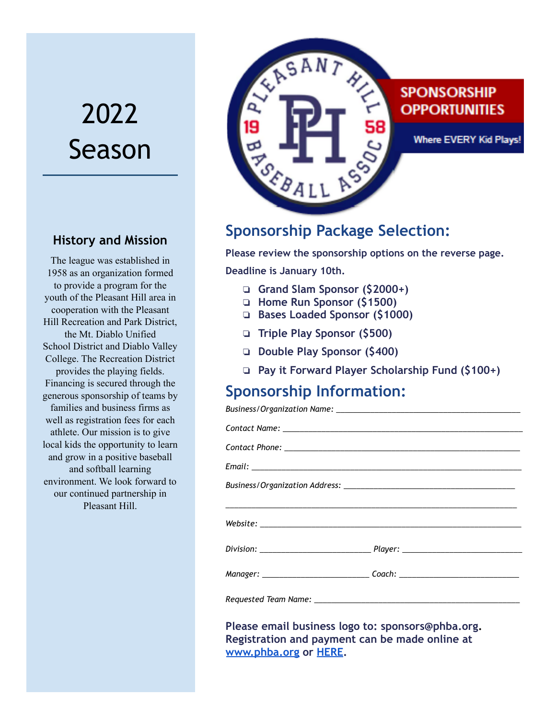# 2022 Season

#### **History and Mission**

The league was established in 1958 as an organization formed to provide a program for the youth of the Pleasant Hill area in cooperation with the Pleasant Hill Recreation and Park District, the Mt. Diablo Unified School District and Diablo Valley College. The Recreation District provides the playing fields. Financing is secured through the generous sponsorship of teams by families and business firms as well as registration fees for each athlete. Our mission is to give local kids the opportunity to learn and grow in a positive baseball and softball learning environment. We look forward to our continued partnership in Pleasant Hill.



### **Sponsorship Package Selection:**

**Please review the sponsorship options on the reverse page.**

**Deadline is January 10th.**

*Business/Organization Name: \_\_\_\_\_\_\_\_\_\_\_\_\_\_\_\_\_\_\_\_\_\_\_\_\_\_\_\_\_\_\_\_\_\_\_\_\_\_\_\_\_\_\_*

- ❏ **Grand Slam Sponsor (\$2000+)**
- ❏ **Home Run Sponsor (\$1500)**
- ❏ **Bases Loaded Sponsor (\$1000)**
- ❏ **Triple Play Sponsor (\$500)**
- ❏ **Double Play Sponsor (\$400)**
- ❏ **Pay it Forward Player Scholarship Fund (\$100+)**

#### **Sponsorship Information:**

| Manager: ________________________________Coach: ________________________________ |  |
|----------------------------------------------------------------------------------|--|
|                                                                                  |  |

**Please email business logo to: sponsors@phba.org. Registration and payment can be made online at [www.phba.org](http://www.phba.org) or [HERE](https://go.teamsnap.com/forms/289246).**